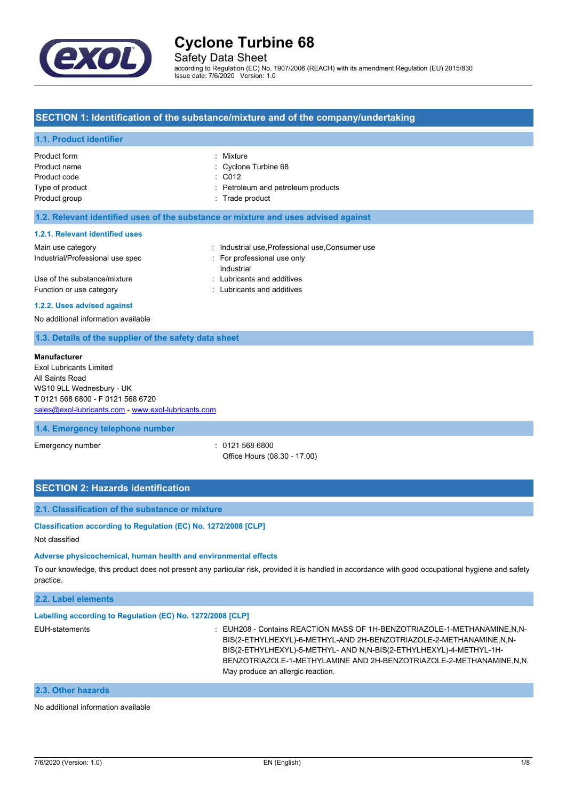

Safety Data Sheet

according to Regulation (EC) No. 1907/2006 (REACH) with its amendment Regulation (EU) 2015/830 Issue date: 7/6/2020 Version: 1.0

## **SECTION 1: Identification of the substance/mixture and of the company/undertaking**

#### **1.1. Product identifier**

| Product form    | : Mixture                          |
|-----------------|------------------------------------|
| Product name    | : Cyclone Turbine 68               |
| Product code    | $\therefore$ C012                  |
| Type of product | : Petroleum and petroleum products |
| Product group   | : Trade product                    |
|                 |                                    |

#### **1.2. Relevant identified uses of the substance or mixture and uses advised against**

#### **1.2.1. Relevant identified uses**

| Main use category                | : Industrial use Professional use Consumer use |
|----------------------------------|------------------------------------------------|
| Industrial/Professional use spec | For professional use only                      |
|                                  | Industrial                                     |
| Use of the substance/mixture     | : Lubricants and additives                     |
| Function or use category         | : Lubricants and additives                     |
|                                  |                                                |

#### **1.2.2. Uses advised against**

No additional information available

#### **1.3. Details of the supplier of the safety data sheet**

#### **Manufacturer**

Exol Lubricants Limited All Saints Road WS10 9LL Wednesbury - UK T 0121 568 6800 - F 0121 568 6720 [sales@exol-lubricants.com](mailto:sales@exol-lubricants.com) - <www.exol-lubricants.com>

#### **1.4. Emergency telephone number**

Emergency number : 0121 568 6800 Office Hours (08.30 - 17.00)

## **SECTION 2: Hazards identification**

#### **2.1. Classification of the substance or mixture**

### **Classification according to Regulation (EC) No. 1272/2008 [CLP]**

Not classified

#### **Adverse physicochemical, human health and environmental effects**

To our knowledge, this product does not present any particular risk, provided it is handled in accordance with good occupational hygiene and safety practice.

#### **2.2. Label elements**

## **Labelling according to Regulation (EC) No. 1272/2008 [CLP]**

EUH-statements **in the statements** : EUH208 - Contains REACTION MASS OF 1H-BENZOTRIAZOLE-1-METHANAMINE,N,N-BIS(2-ETHYLHEXYL)-6-METHYL-AND 2H-BENZOTRIAZOLE-2-METHANAMINE,N,N-BIS(2-ETHYLHEXYL)-5-METHYL- AND N,N-BIS(2-ETHYLHEXYL)-4-METHYL-1H-BENZOTRIAZOLE-1-METHYLAMINE AND 2H-BENZOTRIAZOLE-2-METHANAMINE,N,N. May produce an allergic reaction.

## **2.3. Other hazards**

No additional information available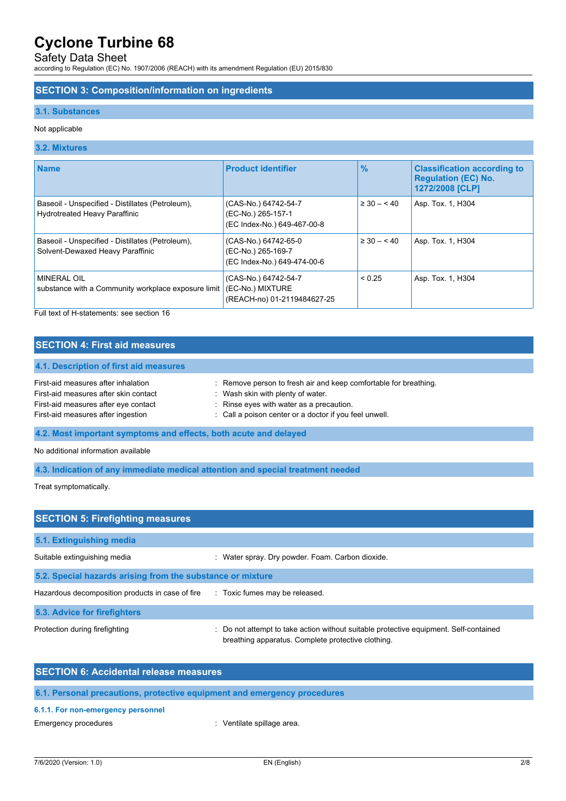## Safety Data Sheet

according to Regulation (EC) No. 1907/2006 (REACH) with its amendment Regulation (EU) 2015/830

### **SECTION 3: Composition/information on ingredients**

#### **3.1. Substances**

### Not applicable

## **3.2. Mixtures**

| <b>Name</b>                                                                              | <b>Product identifier</b>                                                 | $\frac{9}{6}$   | <b>Classification according to</b><br><b>Regulation (EC) No.</b><br>1272/2008 [CLP] |
|------------------------------------------------------------------------------------------|---------------------------------------------------------------------------|-----------------|-------------------------------------------------------------------------------------|
| Baseoil - Unspecified - Distillates (Petroleum),<br><b>Hydrotreated Heavy Paraffinic</b> | (CAS-No.) 64742-54-7<br>(EC-No.) 265-157-1<br>(EC Index-No.) 649-467-00-8 | $\geq 30 - 540$ | Asp. Tox. 1, H304                                                                   |
| Baseoil - Unspecified - Distillates (Petroleum),<br>Solvent-Dewaxed Heavy Paraffinic     | (CAS-No.) 64742-65-0<br>(EC-No.) 265-169-7<br>(EC Index-No.) 649-474-00-6 | $\geq 30 - 40$  | Asp. Tox. 1, H304                                                                   |
| MINERAL OIL<br>substance with a Community workplace exposure limit                       | (CAS-No.) 64742-54-7<br>(EC-No.) MIXTURE<br>(REACH-no) 01-2119484627-25   | < 0.25          | Asp. Tox. 1, H304                                                                   |

Full text of H-statements: see section 16

## **SECTION 4: First aid measures**

| : Remove person to fresh air and keep comfortable for breathing. |
|------------------------------------------------------------------|
| Wash skin with plenty of water.                                  |
| Rinse eyes with water as a precaution.                           |
| : Call a poison center or a doctor if you feel unwell.           |
|                                                                  |

## **4.2. Most important symptoms and effects, both acute and delayed**

No additional information available

## **4.3. Indication of any immediate medical attention and special treatment needed**

Treat symptomatically.

| <b>SECTION 5: Firefighting measures</b>                    |                                                                                                                                             |  |  |
|------------------------------------------------------------|---------------------------------------------------------------------------------------------------------------------------------------------|--|--|
| 5.1. Extinguishing media                                   |                                                                                                                                             |  |  |
| Suitable extinguishing media                               | : Water spray. Dry powder. Foam. Carbon dioxide.                                                                                            |  |  |
| 5.2. Special hazards arising from the substance or mixture |                                                                                                                                             |  |  |
| Hazardous decomposition products in case of fire           | : Toxic fumes may be released.                                                                                                              |  |  |
| 5.3. Advice for firefighters                               |                                                                                                                                             |  |  |
| Protection during firefighting                             | : Do not attempt to take action without suitable protective equipment. Self-contained<br>breathing apparatus. Complete protective clothing. |  |  |

## **SECTION 6: Accidental release measures**

## **6.1. Personal precautions, protective equipment and emergency procedures**

#### **6.1.1. For non-emergency personnel**

Emergency procedures **in the energy of the Contract Contract Contract Contract Contract Contract Contract Contract Contract Contract Contract Contract Contract Contract Contract Contract Contract Contract Contract Contract**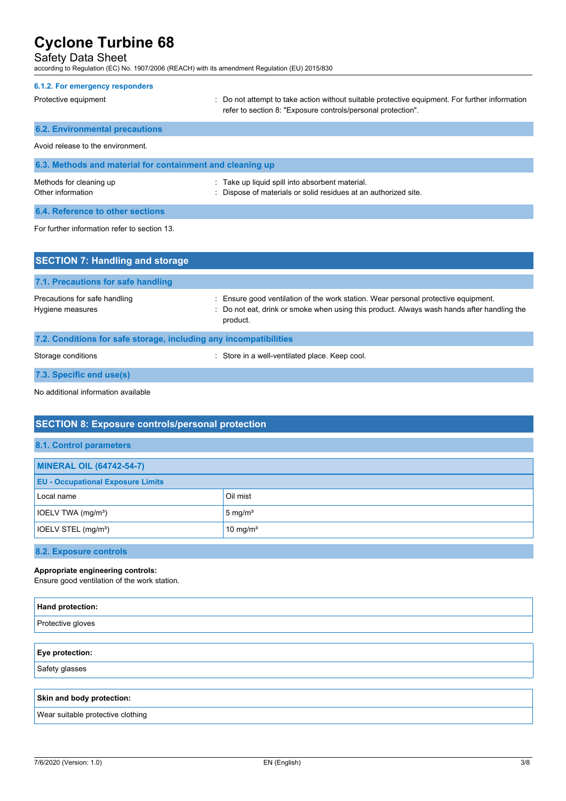## Safety Data Sheet

according to Regulation (EC) No. 1907/2006 (REACH) with its amendment Regulation (EU) 2015/830

| 6.1.2. For emergency responders                           |                                                                                                                                                                |
|-----------------------------------------------------------|----------------------------------------------------------------------------------------------------------------------------------------------------------------|
| Protective equipment                                      | : Do not attempt to take action without suitable protective equipment. For further information<br>refer to section 8: "Exposure controls/personal protection". |
| <b>6.2. Environmental precautions</b>                     |                                                                                                                                                                |
| Avoid release to the environment                          |                                                                                                                                                                |
| 6.3. Methods and material for containment and cleaning up |                                                                                                                                                                |
| Methods for cleaning up<br>Other information              | : Take up liquid spill into absorbent material.<br>: Dispose of materials or solid residues at an authorized site.                                             |
| 6.4. Reference to other sections                          |                                                                                                                                                                |

For further information refer to section 13.

| <b>SECTION 7: Handling and storage</b>                            |                                                                                                                                                                                              |  |  |
|-------------------------------------------------------------------|----------------------------------------------------------------------------------------------------------------------------------------------------------------------------------------------|--|--|
| 7.1. Precautions for safe handling                                |                                                                                                                                                                                              |  |  |
| Precautions for safe handling<br>Hygiene measures                 | : Ensure good ventilation of the work station. Wear personal protective equipment.<br>: Do not eat, drink or smoke when using this product. Always wash hands after handling the<br>product. |  |  |
| 7.2. Conditions for safe storage, including any incompatibilities |                                                                                                                                                                                              |  |  |
| Storage conditions                                                | Store in a well-ventilated place. Keep cool.                                                                                                                                                 |  |  |

**7.3. Specific end use(s)**

No additional information available

## **SECTION 8: Exposure controls/personal protection**

| <b>MINERAL OIL (64742-54-7)</b>          |                      |
|------------------------------------------|----------------------|
| <b>EU - Occupational Exposure Limits</b> |                      |
| Local name                               | Oil mist             |
| IOELV TWA (mg/m <sup>3</sup> )           | 5 mg/ $m3$           |
| IOELV STEL (mg/m <sup>3</sup> )          | 10 mg/m <sup>3</sup> |
|                                          |                      |

## **8.2. Exposure controls**

## **Appropriate engineering controls:**

Ensure good ventilation of the work station.

| Hand protection:                  |  |
|-----------------------------------|--|
| Protective gloves                 |  |
|                                   |  |
| Eye protection:                   |  |
| Safety glasses                    |  |
|                                   |  |
| Skin and body protection:         |  |
| Wear suitable protective clothing |  |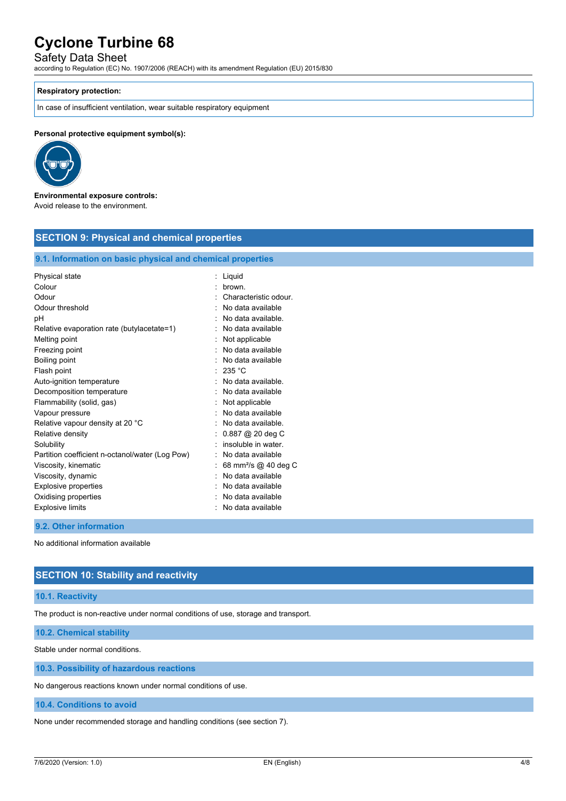## Safety Data Sheet

according to Regulation (EC) No. 1907/2006 (REACH) with its amendment Regulation (EU) 2015/830

#### **Respiratory protection:**

In case of insufficient ventilation, wear suitable respiratory equipment

**Personal protective equipment symbol(s):**



#### **Environmental exposure controls:** Avoid release to the environment.

| <b>SECTION 9: Physical and chemical properties</b> |                                                            |  |  |  |
|----------------------------------------------------|------------------------------------------------------------|--|--|--|
|                                                    | 9.1. Information on basic physical and chemical properties |  |  |  |
| Physical state                                     | : Liquid                                                   |  |  |  |
| Colour                                             | brown.                                                     |  |  |  |
| Odour                                              | Characteristic odour.                                      |  |  |  |
| Odour threshold                                    | No data available                                          |  |  |  |
| рH                                                 | No data available.                                         |  |  |  |
| Relative evaporation rate (butylacetate=1)         | No data available                                          |  |  |  |
| Melting point                                      | Not applicable                                             |  |  |  |
| Freezing point                                     | No data available                                          |  |  |  |
| Boiling point                                      | No data available                                          |  |  |  |
| Flash point                                        | 235 °C<br>$\bullet$                                        |  |  |  |
| Auto-ignition temperature                          | No data available.                                         |  |  |  |
| Decomposition temperature                          | No data available                                          |  |  |  |
| Flammability (solid, gas)                          | Not applicable                                             |  |  |  |
| Vapour pressure                                    | No data available                                          |  |  |  |
| Relative vapour density at 20 °C                   | No data available.                                         |  |  |  |
| Relative density                                   | 0.887 @ 20 deg C                                           |  |  |  |
| Solubility                                         | insoluble in water.                                        |  |  |  |
| Partition coefficient n-octanol/water (Log Pow)    | No data available                                          |  |  |  |
| Viscosity, kinematic                               | 68 mm <sup>2</sup> /s @ 40 deg C                           |  |  |  |
| Viscosity, dynamic                                 | No data available                                          |  |  |  |
| Explosive properties                               | No data available                                          |  |  |  |
| Oxidising properties                               | No data available                                          |  |  |  |
| <b>Explosive limits</b>                            | No data available                                          |  |  |  |

### **9.2. Other information**

No additional information available

## **SECTION 10: Stability and reactivity**

#### **10.1. Reactivity**

The product is non-reactive under normal conditions of use, storage and transport.

**10.2. Chemical stability**

Stable under normal conditions.

**10.3. Possibility of hazardous reactions**

No dangerous reactions known under normal conditions of use.

**10.4. Conditions to avoid**

None under recommended storage and handling conditions (see section 7).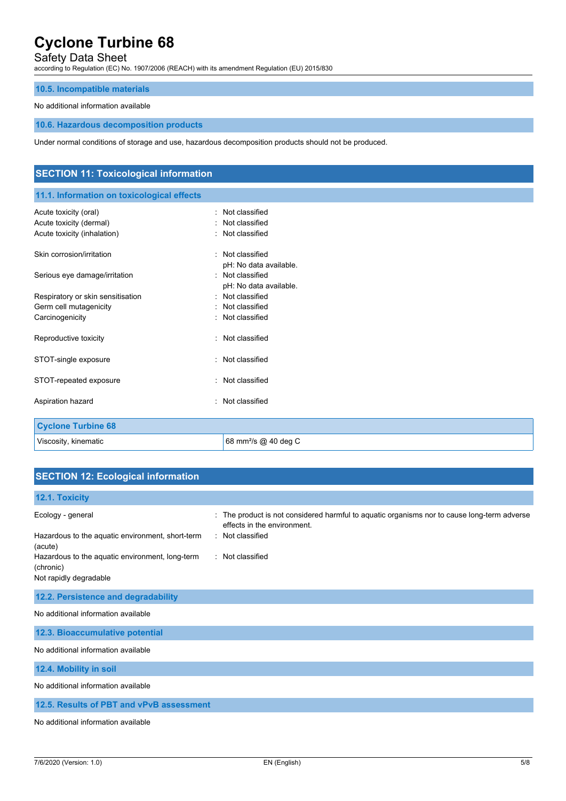## Safety Data Sheet

according to Regulation (EC) No. 1907/2006 (REACH) with its amendment Regulation (EU) 2015/830

## **10.5. Incompatible materials**

## No additional information available

### **10.6. Hazardous decomposition products**

Under normal conditions of storage and use, hazardous decomposition products should not be produced.

| <b>SECTION 11: Toxicological information</b> |                                  |  |
|----------------------------------------------|----------------------------------|--|
| 11.1. Information on toxicological effects   |                                  |  |
| Acute toxicity (oral)                        | : Not classified                 |  |
| Acute toxicity (dermal)                      | Not classified                   |  |
| Acute toxicity (inhalation)                  | : Not classified                 |  |
| Skin corrosion/irritation                    | : Not classified                 |  |
|                                              | pH: No data available.           |  |
| Serious eye damage/irritation                | : Not classified                 |  |
|                                              | pH: No data available.           |  |
| Respiratory or skin sensitisation            | : Not classified                 |  |
| Germ cell mutagenicity                       | : Not classified                 |  |
| Carcinogenicity                              | : Not classified                 |  |
| Reproductive toxicity                        | : Not classified                 |  |
| STOT-single exposure                         | : Not classified                 |  |
| STOT-repeated exposure                       | : Not classified                 |  |
| Aspiration hazard                            | : Not classified                 |  |
| <b>Cyclone Turbine 68</b>                    |                                  |  |
| Viscosity, kinematic                         | 68 mm <sup>2</sup> /s @ 40 deg C |  |

## **SECTION 12: Ecological information**

| 12.1. Toxicity                                               |                                                                                                                           |
|--------------------------------------------------------------|---------------------------------------------------------------------------------------------------------------------------|
| Ecology - general                                            | : The product is not considered harmful to aquatic organisms nor to cause long-term adverse<br>effects in the environment |
| Hazardous to the aquatic environment, short-term<br>(acute)  | : Not classified                                                                                                          |
| Hazardous to the aquatic environment, long-term<br>(chronic) | : Not classified                                                                                                          |
| Not rapidly degradable                                       |                                                                                                                           |
| 12.2. Persistence and degradability                          |                                                                                                                           |
| No additional information available                          |                                                                                                                           |
| 12.3. Bioaccumulative potential                              |                                                                                                                           |
| No additional information available                          |                                                                                                                           |
| 12.4. Mobility in soil                                       |                                                                                                                           |
| No additional information available                          |                                                                                                                           |
| 12.5. Results of PBT and vPvB assessment                     |                                                                                                                           |
| No additional information available                          |                                                                                                                           |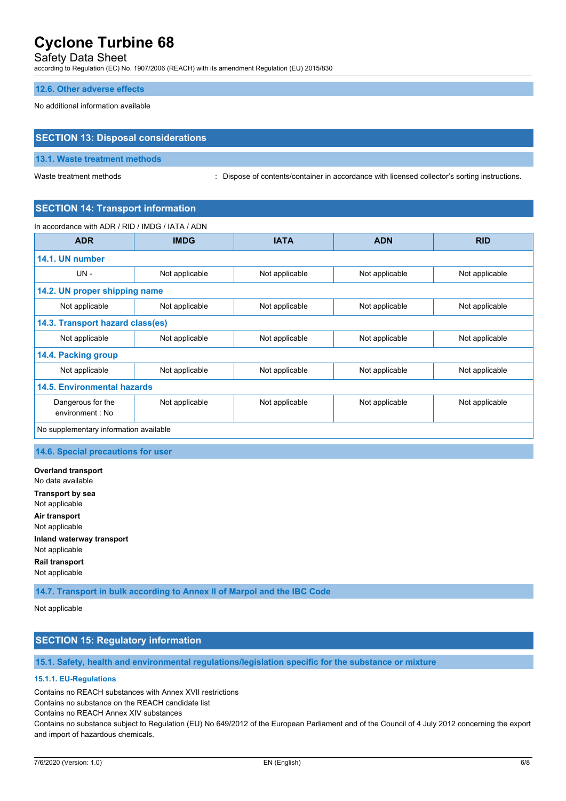## Safety Data Sheet

according to Regulation (EC) No. 1907/2006 (REACH) with its amendment Regulation (EU) 2015/830

#### **12.6. Other adverse effects**

No additional information available

## **SECTION 13: Disposal considerations**

#### **13.1. Waste treatment methods**

Waste treatment methods : Dispose of contents/container in accordance with licensed collector's sorting instructions.

## **SECTION 14: Transport information**

In accordance with ADR / RID / IMDG / IATA / ADN

| <b>ADR</b>                             | <b>IMDG</b>    | <b>IATA</b>    | <b>ADN</b>     | <b>RID</b>     |  |
|----------------------------------------|----------------|----------------|----------------|----------------|--|
| 14.1. UN number                        |                |                |                |                |  |
| $UN -$                                 | Not applicable | Not applicable | Not applicable | Not applicable |  |
| 14.2. UN proper shipping name          |                |                |                |                |  |
| Not applicable                         | Not applicable | Not applicable | Not applicable | Not applicable |  |
| 14.3. Transport hazard class(es)       |                |                |                |                |  |
| Not applicable                         | Not applicable | Not applicable | Not applicable | Not applicable |  |
| 14.4. Packing group                    |                |                |                |                |  |
| Not applicable                         | Not applicable | Not applicable | Not applicable | Not applicable |  |
| 14.5. Environmental hazards            |                |                |                |                |  |
| Dangerous for the<br>environment : No  | Not applicable | Not applicable | Not applicable | Not applicable |  |
| No supplementary information available |                |                |                |                |  |

#### **14.6. Special precautions for user**

**Overland transport** No data available **Transport by sea** Not applicable **Air transport** Not applicable **Inland waterway transport** Not applicable **Rail transport** Not applicable

**14.7. Transport in bulk according to Annex II of Marpol and the IBC Code**

Not applicable

## **SECTION 15: Regulatory information**

**15.1. Safety, health and environmental regulations/legislation specific for the substance or mixture**

#### **15.1.1. EU-Regulations**

Contains no REACH substances with Annex XVII restrictions

Contains no substance on the REACH candidate list

Contains no REACH Annex XIV substances

Contains no substance subject to Regulation (EU) No 649/2012 of the European Parliament and of the Council of 4 July 2012 concerning the export and import of hazardous chemicals.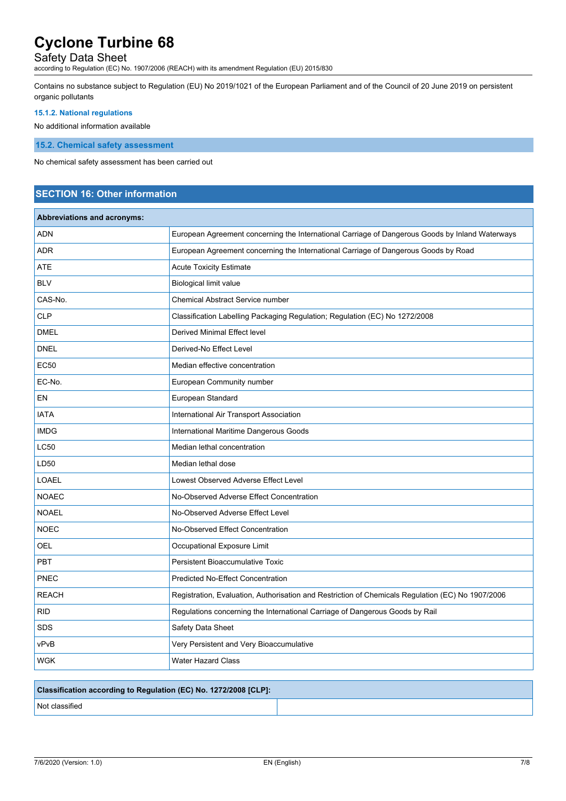# Safety Data Sheet

according to Regulation (EC) No. 1907/2006 (REACH) with its amendment Regulation (EU) 2015/830

Contains no substance subject to Regulation (EU) No 2019/1021 of the European Parliament and of the Council of 20 June 2019 on persistent organic pollutants

### **15.1.2. National regulations**

No additional information available

**15.2. Chemical safety assessment**

No chemical safety assessment has been carried out

## **SECTION 16: Other information**

| <b>Abbreviations and acronyms:</b> |                                                                                                   |
|------------------------------------|---------------------------------------------------------------------------------------------------|
| <b>ADN</b>                         | European Agreement concerning the International Carriage of Dangerous Goods by Inland Waterways   |
| <b>ADR</b>                         | European Agreement concerning the International Carriage of Dangerous Goods by Road               |
| <b>ATE</b>                         | <b>Acute Toxicity Estimate</b>                                                                    |
| <b>BLV</b>                         | <b>Biological limit value</b>                                                                     |
| CAS-No.                            | <b>Chemical Abstract Service number</b>                                                           |
| <b>CLP</b>                         | Classification Labelling Packaging Regulation; Regulation (EC) No 1272/2008                       |
| <b>DMEL</b>                        | Derived Minimal Effect level                                                                      |
| <b>DNEL</b>                        | Derived-No Effect Level                                                                           |
| <b>EC50</b>                        | Median effective concentration                                                                    |
| EC-No.                             | European Community number                                                                         |
| EN                                 | European Standard                                                                                 |
| <b>IATA</b>                        | International Air Transport Association                                                           |
| <b>IMDG</b>                        | International Maritime Dangerous Goods                                                            |
| <b>LC50</b>                        | Median lethal concentration                                                                       |
| LD50                               | Median lethal dose                                                                                |
| <b>LOAEL</b>                       | Lowest Observed Adverse Effect Level                                                              |
| <b>NOAEC</b>                       | No-Observed Adverse Effect Concentration                                                          |
| <b>NOAEL</b>                       | No-Observed Adverse Effect Level                                                                  |
| <b>NOEC</b>                        | No-Observed Effect Concentration                                                                  |
| OEL                                | Occupational Exposure Limit                                                                       |
| <b>PBT</b>                         | <b>Persistent Bioaccumulative Toxic</b>                                                           |
| <b>PNEC</b>                        | <b>Predicted No-Effect Concentration</b>                                                          |
| <b>REACH</b>                       | Registration, Evaluation, Authorisation and Restriction of Chemicals Regulation (EC) No 1907/2006 |
| <b>RID</b>                         | Regulations concerning the International Carriage of Dangerous Goods by Rail                      |
| <b>SDS</b>                         | Safety Data Sheet                                                                                 |
| vPvB                               | Very Persistent and Very Bioaccumulative                                                          |
| WGK                                | <b>Water Hazard Class</b>                                                                         |

## **Classification according to Regulation (EC) No. 1272/2008 [CLP]:**

Not classified